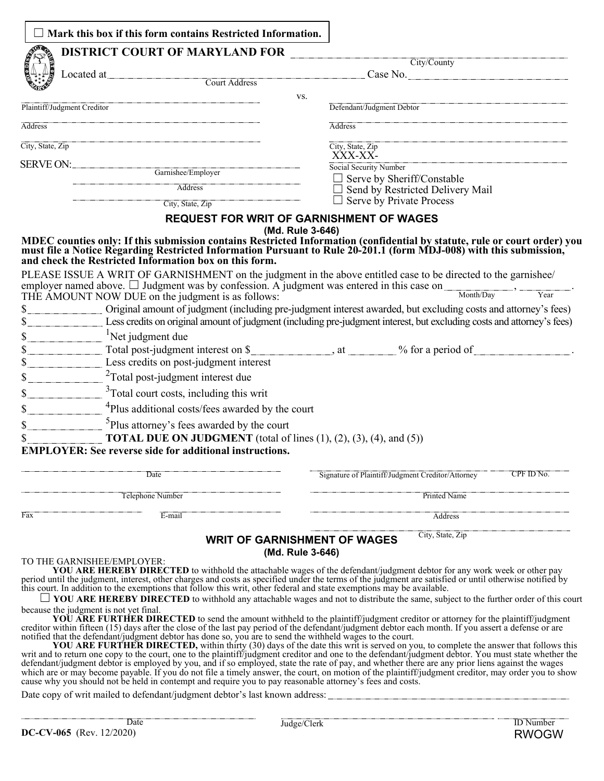|                                                      | Mark this box if this form contains Restricted Information.                                                                                                                                                                                                                                                                                                                                                                                                  |                                                                                                                                                                                                                                                                                                                                                                                                                                                                                                                                    |  |  |  |
|------------------------------------------------------|--------------------------------------------------------------------------------------------------------------------------------------------------------------------------------------------------------------------------------------------------------------------------------------------------------------------------------------------------------------------------------------------------------------------------------------------------------------|------------------------------------------------------------------------------------------------------------------------------------------------------------------------------------------------------------------------------------------------------------------------------------------------------------------------------------------------------------------------------------------------------------------------------------------------------------------------------------------------------------------------------------|--|--|--|
|                                                      | <b>DISTRICT COURT OF MARYLAND FOR</b>                                                                                                                                                                                                                                                                                                                                                                                                                        |                                                                                                                                                                                                                                                                                                                                                                                                                                                                                                                                    |  |  |  |
|                                                      |                                                                                                                                                                                                                                                                                                                                                                                                                                                              | City/County                                                                                                                                                                                                                                                                                                                                                                                                                                                                                                                        |  |  |  |
|                                                      | Located at<br><b>Court Address</b>                                                                                                                                                                                                                                                                                                                                                                                                                           | Case No.                                                                                                                                                                                                                                                                                                                                                                                                                                                                                                                           |  |  |  |
|                                                      | VS.                                                                                                                                                                                                                                                                                                                                                                                                                                                          |                                                                                                                                                                                                                                                                                                                                                                                                                                                                                                                                    |  |  |  |
|                                                      | Plaintiff/Judgment Creditor                                                                                                                                                                                                                                                                                                                                                                                                                                  | Defendant/Judgment Debtor                                                                                                                                                                                                                                                                                                                                                                                                                                                                                                          |  |  |  |
| <b>Address</b>                                       |                                                                                                                                                                                                                                                                                                                                                                                                                                                              | <b>Address</b>                                                                                                                                                                                                                                                                                                                                                                                                                                                                                                                     |  |  |  |
| City, State, Zip                                     |                                                                                                                                                                                                                                                                                                                                                                                                                                                              | City, State, Zip<br>XXX-XX-                                                                                                                                                                                                                                                                                                                                                                                                                                                                                                        |  |  |  |
|                                                      |                                                                                                                                                                                                                                                                                                                                                                                                                                                              | Social Security Number                                                                                                                                                                                                                                                                                                                                                                                                                                                                                                             |  |  |  |
|                                                      | Garnishee/Employer                                                                                                                                                                                                                                                                                                                                                                                                                                           | $\Box$ Serve by Sheriff/Constable                                                                                                                                                                                                                                                                                                                                                                                                                                                                                                  |  |  |  |
|                                                      | Address<br>City, State, Zip                                                                                                                                                                                                                                                                                                                                                                                                                                  | $\Box$ Send by Restricted Delivery Mail<br>$\Box$ Serve by Private Process                                                                                                                                                                                                                                                                                                                                                                                                                                                         |  |  |  |
|                                                      | <b>REQUEST FOR WRIT OF GARNISHMENT OF WAGES</b>                                                                                                                                                                                                                                                                                                                                                                                                              |                                                                                                                                                                                                                                                                                                                                                                                                                                                                                                                                    |  |  |  |
| $\mathbb{S}$ .<br>$\mathbb{S}_{-}$<br>\$<br>\$<br>\$ | and check the Restricted Information box on this form.<br>PLEASE ISSUE A WRIT OF GARNISHMENT on the judgment in the above entitled case to be directed to the garnishee/<br>PLEASE ISSUE A WILL UP UNIVERSITY OF the Judgment was entered in this case on $\frac{1}{\text{Monthly}}$ ,<br>THE AMOUNT NOW DUE on the judgment is as follows:<br><sup>1</sup> Net judgment due<br>Total post-judgment interest on \$<br>Less credits on post-judgment interest | MDEC counties only: If this submission contains Restricted Information (confidential by statute, rule or court order) you<br>must file a Notice Regarding Restricted Information Pursuant to Rule 20-201.1 (form MDJ-008) with th<br>Year<br>Original amount of judgment (including pre-judgment interest awarded, but excluding costs and attorney's fees)<br>Less credits on original amount of judgment (including pre-judgment interest, but excluding costs and attorney's fees)<br>$\sim$ at $\sim$ % for a period of $\sim$ |  |  |  |
| \$                                                   | $2$ Total post-judgment interest due                                                                                                                                                                                                                                                                                                                                                                                                                         |                                                                                                                                                                                                                                                                                                                                                                                                                                                                                                                                    |  |  |  |
| \$                                                   | <sup>3</sup> Total court costs, including this writ                                                                                                                                                                                                                                                                                                                                                                                                          |                                                                                                                                                                                                                                                                                                                                                                                                                                                                                                                                    |  |  |  |
| \$                                                   | <sup>4</sup> Plus additional costs/fees awarded by the court                                                                                                                                                                                                                                                                                                                                                                                                 |                                                                                                                                                                                                                                                                                                                                                                                                                                                                                                                                    |  |  |  |
| \$                                                   | <sup>5</sup> Plus attorney's fees awarded by the court                                                                                                                                                                                                                                                                                                                                                                                                       |                                                                                                                                                                                                                                                                                                                                                                                                                                                                                                                                    |  |  |  |
| \$                                                   | <b>TOTAL DUE ON JUDGMENT</b> (total of lines $(1)$ , $(2)$ , $(3)$ , $(4)$ , and $(5)$ )<br><b>EMPLOYER: See reverse side for additional instructions.</b>                                                                                                                                                                                                                                                                                                   |                                                                                                                                                                                                                                                                                                                                                                                                                                                                                                                                    |  |  |  |
|                                                      | Date                                                                                                                                                                                                                                                                                                                                                                                                                                                         | CPF ID No.<br>Signature of Plaintiff/Judgment Creditor/Attorney                                                                                                                                                                                                                                                                                                                                                                                                                                                                    |  |  |  |
|                                                      | Telephone Number                                                                                                                                                                                                                                                                                                                                                                                                                                             | Printed Name                                                                                                                                                                                                                                                                                                                                                                                                                                                                                                                       |  |  |  |
| Fax                                                  | E-mail                                                                                                                                                                                                                                                                                                                                                                                                                                                       | Address                                                                                                                                                                                                                                                                                                                                                                                                                                                                                                                            |  |  |  |
|                                                      | <b>WRIT OF GARNISHMENT OF WAGES</b><br>(Md. Rule 3-646)                                                                                                                                                                                                                                                                                                                                                                                                      | City, State, Zip                                                                                                                                                                                                                                                                                                                                                                                                                                                                                                                   |  |  |  |

#### TO THE GARNISHEE/EMPLOYER:

**YOU ARE HEREBY DIRECTED** to withhold the attachable wages of the defendant/judgment debtor for any work week or other pay period until the judgment, interest, other charges and costs as specified under the terms of the judgment are satisfied or until otherwise notified by this court. In addition to the exemptions that follow this writ, other federal and state exemptions may be available.

☐ **YOU ARE HEREBY DIRECTED** to withhold any attachable wages and not to distribute the same, subject to the further order of this court because the judgment is not yet final.

**YOU ARE FURTHER DIRECTED** to send the amount withheld to the plaintiff/judgment creditor or attorney for the plaintiff/judgment creditor within fifteen (15) days after the close of the last pay period of the defendant/judgment debtor each month. If you assert a defense or are notified that the defendant/judgment debtor has done so, you are to send the withheld wages to the court.

**YOU ARE FURTHER DIRECTED**, within thirty (30) days of the date this writ is served on you, to complete the answer that follows this writ and to return one copy to the court, one to the plaintiff/judgment creditor and one defendant/judgment debtor is employed by you, and if so employed, state the rate of pay, and whether there are any prior liens against the wages which are or may become payable. If you do not file a timely answer, the court, on motion of the plaintiff/judgment creditor, may order you to show cause why you should not be held in contempt and require you to pay reasonable attorney's fees and costs.

Date copy of writ mailed to defendant/judgment debtor's last known address: